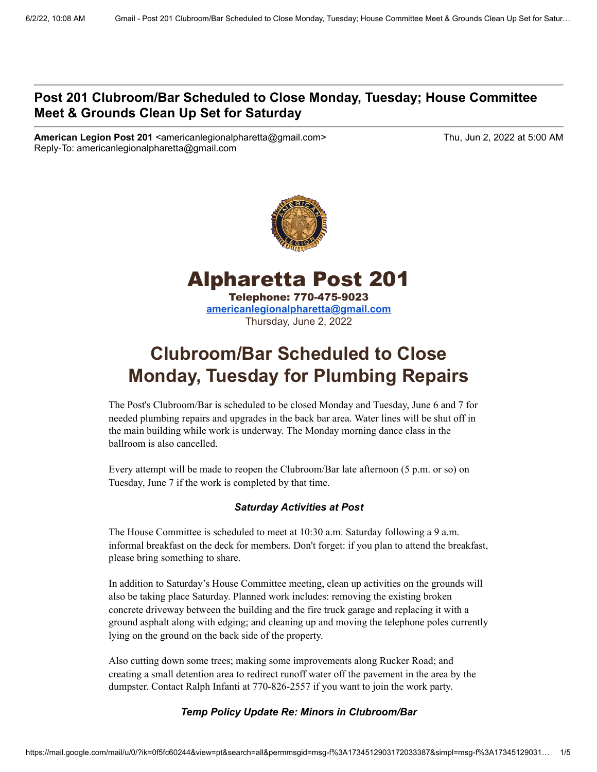### **Post 201 Clubroom/Bar Scheduled to Close Monday, Tuesday; House Committee Meet & Grounds Clean Up Set for Saturday**

**American Legion Post 201** <americanlegionalpharetta@gmail.com> Thu, Jun 2, 2022 at 5:00 AM Reply-To: americanlegionalpharetta@gmail.com



# Alpharetta Post 201

Telephone: 770-475-9023 **[americanlegionalpharetta@gmail.com](mailto:americanlegionalpharetta@gmail.com)** Thursday, June 2, 2022

# **Clubroom/Bar Scheduled to Close Monday, Tuesday for Plumbing Repairs**

The Post's Clubroom/Bar is scheduled to be closed Monday and Tuesday, June 6 and 7 for needed plumbing repairs and upgrades in the back bar area. Water lines will be shut off in the main building while work is underway. The Monday morning dance class in the ballroom is also cancelled.

Every attempt will be made to reopen the Clubroom/Bar late afternoon (5 p.m. or so) on Tuesday, June 7 if the work is completed by that time.

### *Saturday Activities at Post*

The House Committee is scheduled to meet at 10:30 a.m. Saturday following a 9 a.m. informal breakfast on the deck for members. Don't forget: if you plan to attend the breakfast, please bring something to share.

In addition to Saturday's House Committee meeting, clean up activities on the grounds will also be taking place Saturday. Planned work includes: removing the existing broken concrete driveway between the building and the fire truck garage and replacing it with a ground asphalt along with edging; and cleaning up and moving the telephone poles currently lying on the ground on the back side of the property.

Also cutting down some trees; making some improvements along Rucker Road; and creating a small detention area to redirect runoff water off the pavement in the area by the dumpster. Contact Ralph Infanti at 770-826-2557 if you want to join the work party.

### *Temp Policy Update Re: Minors in Clubroom/Bar*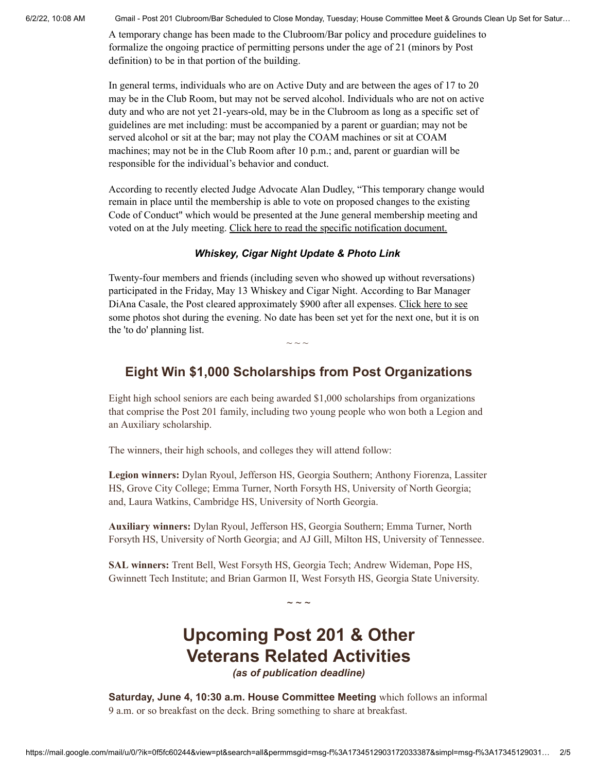6/2/22, 10:08 AM Gmail - Post 201 Clubroom/Bar Scheduled to Close Monday, Tuesday; House Committee Meet & Grounds Clean Up Set for Satur…

A temporary change has been made to the Clubroom/Bar policy and procedure guidelines to formalize the ongoing practice of permitting persons under the age of 21 (minors by Post definition) to be in that portion of the building.

In general terms, individuals who are on Active Duty and are between the ages of 17 to 20 may be in the Club Room, but may not be served alcohol. Individuals who are not on active duty and who are not yet 21-years-old, may be in the Clubroom as long as a specific set of guidelines are met including: must be accompanied by a parent or guardian; may not be served alcohol or sit at the bar; may not play the COAM machines or sit at COAM machines; may not be in the Club Room after 10 p.m.; and, parent or guardian will be responsible for the individual's behavior and conduct.

According to recently elected Judge Advocate Alan Dudley, "This temporary change would remain in place until the membership is able to vote on proposed changes to the existing Code of Conduct" which would be presented at the June general membership meeting and voted on at the July meeting. [Click here to read the specific notification document.](https://r20.rs6.net/tn.jsp?f=001sQ7RC9pD5f2ITD_gRmZKGct97EoJ-dXiIZOS2-pSfxSDEWOrKIOU4KrMQoSO_Nabwrt7xlbqXg-hmztDOpqiSInSFK5hTd-yk2jZjso3vYsgrKPOrqUPq4sisPDcL25hkzjRBvGyfE7-OHAk6DkhHDqkBI2mlGnqCbJ-CHwLAdEVMD_jbC5_M726YEI8H5KC&c=EfJKlhuR-FV7VjmsM6ggHqEBOPMmNFXrWE2oegmmyXJ-crw7sz4gEA==&ch=nQPOw-BAgqX3EvX6J2ubv_8n9nPfsXz8t6y2LD_qrKuWPpBNWu8keA==)

### *Whiskey, Cigar Night Update & Photo Link*

Twenty-four members and friends (including seven who showed up without reversations) participated in the Friday, May 13 Whiskey and Cigar Night. According to Bar Manager DiAna Casale, the Post cleared approximately \$900 after all expenses. [Click here to see](https://r20.rs6.net/tn.jsp?f=001sQ7RC9pD5f2ITD_gRmZKGct97EoJ-dXiIZOS2-pSfxSDEWOrKIOU4KrMQoSO_Nabmt2VfurPokdihDAhKue0BpQhChFveAOciHsRf7t9znWoqcxACxH6mRgEl54Ux90KRDJ2cF48lDd9LgDMsdshLT7V7KrLDcApqSAKXWmIDhU=&c=EfJKlhuR-FV7VjmsM6ggHqEBOPMmNFXrWE2oegmmyXJ-crw7sz4gEA==&ch=nQPOw-BAgqX3EvX6J2ubv_8n9nPfsXz8t6y2LD_qrKuWPpBNWu8keA==) some photos shot during the evening. No date has been set yet for the next one, but it is on the 'to do' planning list.

## **Eight Win \$1,000 Scholarships from Post Organizations**

 $\sim$   $\sim$   $\sim$ 

Eight high school seniors are each being awarded \$1,000 scholarships from organizations that comprise the Post 201 family, including two young people who won both a Legion and an Auxiliary scholarship.

The winners, their high schools, and colleges they will attend follow:

**Legion winners:** Dylan Ryoul, Jefferson HS, Georgia Southern; Anthony Fiorenza, Lassiter HS, Grove City College; Emma Turner, North Forsyth HS, University of North Georgia; and, Laura Watkins, Cambridge HS, University of North Georgia.

**Auxiliary winners:** Dylan Ryoul, Jefferson HS, Georgia Southern; Emma Turner, North Forsyth HS, University of North Georgia; and AJ Gill, Milton HS, University of Tennessee.

**SAL winners:** Trent Bell, West Forsyth HS, Georgia Tech; Andrew Wideman, Pope HS, Gwinnett Tech Institute; and Brian Garmon II, West Forsyth HS, Georgia State University.

 $\sim$   $\sim$   $\sim$ 

# **Upcoming Post 201 & Other Veterans Related Activities**

*(as of publication deadline)*

**Saturday, June 4, 10:30 a.m. House Committee Meeting** which follows an informal 9 a.m. or so breakfast on the deck. Bring something to share at breakfast.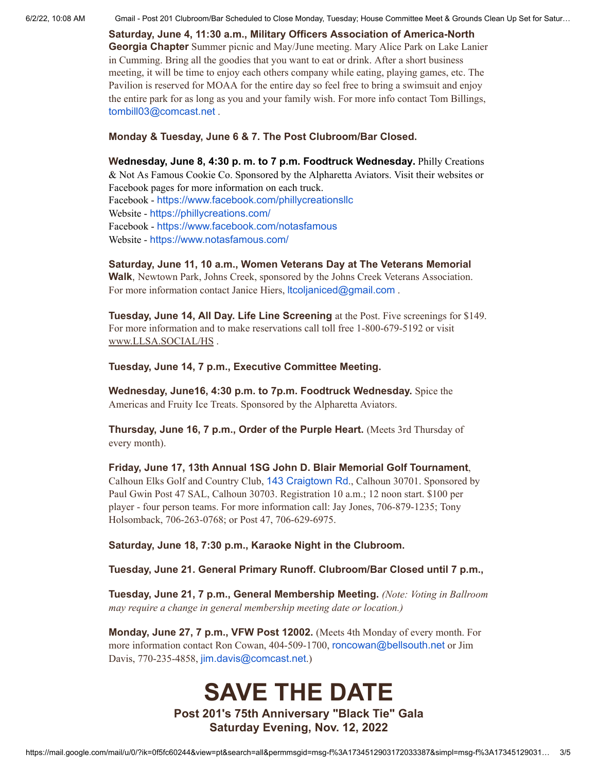6/2/22, 10:08 AM Gmail - Post 201 Clubroom/Bar Scheduled to Close Monday, Tuesday; House Committee Meet & Grounds Clean Up Set for Satur…

**Saturday, June 4, 11:30 a.m., Military Officers Association of America-North Georgia Chapter** Summer picnic and May/June meeting. Mary Alice Park on Lake Lanier in Cumming. Bring all the goodies that you want to eat or drink. After a short business meeting, it will be time to enjoy each others company while eating, playing games, etc. The Pavilion is reserved for MOAA for the entire day so feel free to bring a swimsuit and enjoy the entire park for as long as you and your family wish. For more info contact Tom Billings, [tombill03@comcast.net](mailto:tombill03@comcast.net) .

#### **Monday & Tuesday, June 6 & 7. The Post Clubroom/Bar Closed.**

**Wednesday, June 8, 4:30 p. m. to 7 p.m. Foodtruck Wednesday.** Philly Creations & Not As Famous Cookie Co. Sponsored by the Alpharetta Aviators. Visit their websites or Facebook pages for more information on each truck. Facebook - <https://www.facebook.com/phillycreationsllc> Website - <https://phillycreations.com/> Facebook - <https://www.facebook.com/notasfamous> Website - <https://www.notasfamous.com/>

**Saturday, June 11, 10 a.m., Women Veterans Day at The Veterans Memorial Walk**, Newtown Park, Johns Creek, sponsored by the Johns Creek Veterans Association. For more information contact Janice Hiers, *[ltcoljaniced@gmail.com](mailto:ltcoljaniced@gmail.com)*.

**Tuesday, June 14, All Day. Life Line Screening** at the Post. Five screenings for \$149. For more information and to make reservations call toll free 1-800-679-5192 or visit [www.LLSA.SOCIAL/HS](https://r20.rs6.net/tn.jsp?f=001sQ7RC9pD5f2ITD_gRmZKGct97EoJ-dXiIZOS2-pSfxSDEWOrKIOU4KrMQoSO_NabUqa6KG_Vdgf8cujrJHWG1nRnK2YSgZsGQgETmE5sqWn06cTaFspei0Lh2C0NscfEYo0YK3iXPRqrogEvpUQLoSqG7QqvKhegiE1Pu6Xl0APChMnxyqkn8srL7ZL2aGul71YKkQeKT3w=&c=EfJKlhuR-FV7VjmsM6ggHqEBOPMmNFXrWE2oegmmyXJ-crw7sz4gEA==&ch=nQPOw-BAgqX3EvX6J2ubv_8n9nPfsXz8t6y2LD_qrKuWPpBNWu8keA==) .

**Tuesday, June 14, 7 p.m., Executive Committee Meeting.**

**Wednesday, June16, 4:30 p.m. to 7p.m. Foodtruck Wednesday.** Spice the Americas and Fruity Ice Treats. Sponsored by the Alpharetta Aviators.

**Thursday, June 16, 7 p.m., Order of the Purple Heart.** (Meets 3rd Thursday of every month).

**Friday, June 17, 13th Annual 1SG John D. Blair Memorial Golf Tournament**, Calhoun Elks Golf and Country Club, [143 Craigtown Rd](https://www.google.com/maps/search/143+Craigtown+Rd?entry=gmail&source=g)., Calhoun 30701. Sponsored by Paul Gwin Post 47 SAL, Calhoun 30703. Registration 10 a.m.; 12 noon start. \$100 per player - four person teams. For more information call: Jay Jones, 706-879-1235; Tony Holsomback, 706-263-0768; or Post 47, 706-629-6975.

**Saturday, June 18, 7:30 p.m., Karaoke Night in the Clubroom.**

**Tuesday, June 21. General Primary Runoff. Clubroom/Bar Closed until 7 p.m.,**

**Tuesday, June 21, 7 p.m., General Membership Meeting.** *(Note: Voting in Ballroom may require a change in general membership meeting date or location.)*

**Monday, June 27, 7 p.m., VFW Post 12002.** (Meets 4th Monday of every month. For more information contact Ron Cowan, 404-509-1700, [roncowan@bellsouth.net](mailto:roncowan@bellsouth.net) or Jim Davis, 770-235-4858, [jim.davis@comcast.net](mailto:jim.davis@comcast.net).)

## **SAVE THE DATE Post 201's 75th Anniversary "Black Tie" Gala Saturday Evening, Nov. 12, 2022**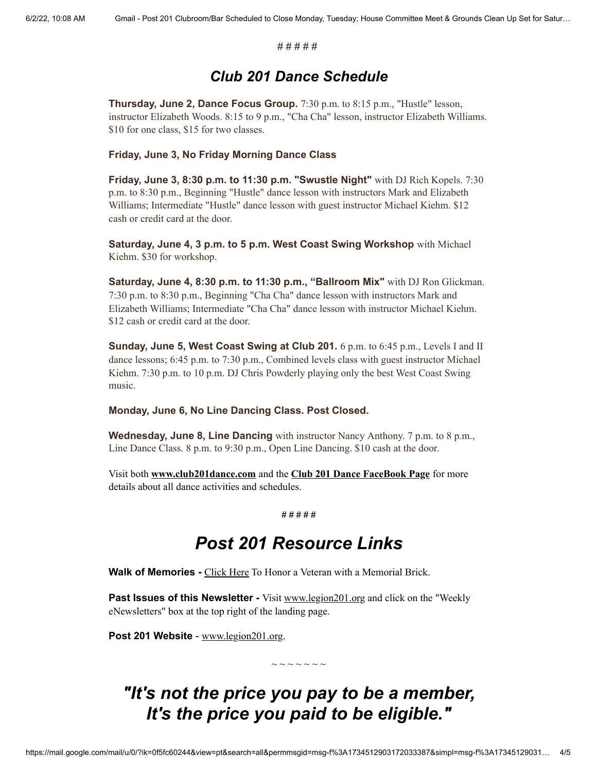# # # # #

## *Club 201 Dance Schedule*

**Thursday, June 2, Dance Focus Group.** 7:30 p.m. to 8:15 p.m., "Hustle" lesson, instructor Elizabeth Woods. 8:15 to 9 p.m., "Cha Cha" lesson, instructor Elizabeth Williams. \$10 for one class, \$15 for two classes.

#### **Friday, June 3, No Friday Morning Dance Class**

**Friday, June 3, 8:30 p.m. to 11:30 p.m. "Swustle Night"** with DJ Rich Kopels. 7:30 p.m. to 8:30 p.m., Beginning "Hustle" dance lesson with instructors Mark and Elizabeth Williams; Intermediate "Hustle" dance lesson with guest instructor Michael Kiehm. \$12 cash or credit card at the door.

**Saturday, June 4, 3 p.m. to 5 p.m. West Coast Swing Workshop** with Michael Kiehm. \$30 for workshop.

**Saturday, June 4, 8:30 p.m. to 11:30 p.m., "Ballroom Mix"** with DJ Ron Glickman. 7:30 p.m. to 8:30 p.m., Beginning "Cha Cha" dance lesson with instructors Mark and Elizabeth Williams; Intermediate "Cha Cha" dance lesson with instructor Michael Kiehm. \$12 cash or credit card at the door.

**Sunday, June 5, West Coast Swing at Club 201.** 6 p.m. to 6:45 p.m., Levels I and II dance lessons; 6:45 p.m. to 7:30 p.m., Combined levels class with guest instructor Michael Kiehm. 7:30 p.m. to 10 p.m. DJ Chris Powderly playing only the best West Coast Swing music.

#### **Monday, June 6, No Line Dancing Class. Post Closed.**

**Wednesday, June 8, Line Dancing** with instructor Nancy Anthony. 7 p.m. to 8 p.m., Line Dance Class. 8 p.m. to 9:30 p.m., Open Line Dancing. \$10 cash at the door.

Visit both **[www.club201dance.com](https://r20.rs6.net/tn.jsp?f=001sQ7RC9pD5f2ITD_gRmZKGct97EoJ-dXiIZOS2-pSfxSDEWOrKIOU4OOJQoL_5X_8y6zn0HCyTiuux9F_qEvFdEZm-shl1Cp7pi8ZMY9kM7eKrMNOvkmjOsLug83O0BVyjQLVx55-3hewp0OBSBWQS94-64bTSFc7FwFoeGmPznWQ6OHwdovWzbaQsx9JhcOK4WChYDkBFTNF61Y3OqQyMg==&c=EfJKlhuR-FV7VjmsM6ggHqEBOPMmNFXrWE2oegmmyXJ-crw7sz4gEA==&ch=nQPOw-BAgqX3EvX6J2ubv_8n9nPfsXz8t6y2LD_qrKuWPpBNWu8keA==)** and the **[Club 201 Dance FaceBook Page](https://r20.rs6.net/tn.jsp?f=001sQ7RC9pD5f2ITD_gRmZKGct97EoJ-dXiIZOS2-pSfxSDEWOrKIOU4D07y-HcosAaXfKpql7EHV5CXjYz075flQ63m4v-JFsPEcWE9304fh5tQRPUKtNOsGatXjwr2MPhjEtqdSIgfCgwmmrXcveVz8D6dpq5cBCCyZ5debLHEEU=&c=EfJKlhuR-FV7VjmsM6ggHqEBOPMmNFXrWE2oegmmyXJ-crw7sz4gEA==&ch=nQPOw-BAgqX3EvX6J2ubv_8n9nPfsXz8t6y2LD_qrKuWPpBNWu8keA==)** for more details about all dance activities and schedules.

#### # # # # #

# *Post 201 Resource Links*

Walk of Memories - [Click Here](https://r20.rs6.net/tn.jsp?f=001sQ7RC9pD5f2ITD_gRmZKGct97EoJ-dXiIZOS2-pSfxSDEWOrKIOU4KhrVC4p12VefM7HSxAgf_CU5y4QVcjjGkvfBbf9BPRxW4s_jUJBtSa0ymzq2zkABOPbY8tKS-qYyjH31lLnq2odppa2TF5XwPN5lzfT38GOxh4LQGYU53UqiBpVEtQU_e5sK6Ql2-s9es-g3yVTT2Svdm44kXiZWmN1ZWb-9C3uMwtP2iUcWGw=&c=EfJKlhuR-FV7VjmsM6ggHqEBOPMmNFXrWE2oegmmyXJ-crw7sz4gEA==&ch=nQPOw-BAgqX3EvX6J2ubv_8n9nPfsXz8t6y2LD_qrKuWPpBNWu8keA==) To Honor a Veteran with a Memorial Brick.

**Past Issues of this Newsletter -** Visit [www.legion201.org](https://r20.rs6.net/tn.jsp?f=001sQ7RC9pD5f2ITD_gRmZKGct97EoJ-dXiIZOS2-pSfxSDEWOrKIOU4BjWab6m--h01tjhehYZueKJWwovp1GPLKE4nsVQ1O-uDuvPWnIYmUBwS9yWYbcSwqvwHdwDdwN6Us0V9EzV9vdw2imr4CxeUw==&c=EfJKlhuR-FV7VjmsM6ggHqEBOPMmNFXrWE2oegmmyXJ-crw7sz4gEA==&ch=nQPOw-BAgqX3EvX6J2ubv_8n9nPfsXz8t6y2LD_qrKuWPpBNWu8keA==) and click on the "Weekly eNewsletters" box at the top right of the landing page.

**Post 201 Website** - [www.legion201.org](https://r20.rs6.net/tn.jsp?f=001sQ7RC9pD5f2ITD_gRmZKGct97EoJ-dXiIZOS2-pSfxSDEWOrKIOU4BjWab6m--h01tjhehYZueKJWwovp1GPLKE4nsVQ1O-uDuvPWnIYmUBwS9yWYbcSwqvwHdwDdwN6Us0V9EzV9vdw2imr4CxeUw==&c=EfJKlhuR-FV7VjmsM6ggHqEBOPMmNFXrWE2oegmmyXJ-crw7sz4gEA==&ch=nQPOw-BAgqX3EvX6J2ubv_8n9nPfsXz8t6y2LD_qrKuWPpBNWu8keA==).

*"It's not the price you pay to be a member, It's the price you paid to be eligible."*

*~ ~ ~ ~ ~ ~ ~*